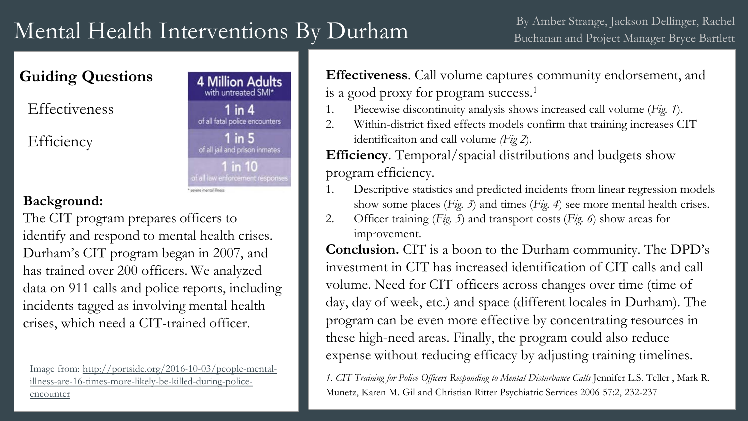### Mental Health Interventions By Durham

#### $\sqrt{a}$ **Guiding Questions**

**Effectiveness** 

**Efficiency** 



#### **Background:**

The CIT program prepares officers to identify and respond to mental health crises. Durham's CIT program began in 2007, and has trained over 200 officers. We analyzed data on 911 calls and police reports, including incidents tagged as involving mental health crises, which need a CIT-trained officer.

Image from: http://portside.org/2016-10-03/people-mentalillness-are-16-times-more-likely-be-killed-during-policeencounter

**Effectiveness**. Call volume captures community endorsement, and is a good proxy for program success.<sup>1</sup>

- 1. Piecewise discontinuity analysis shows increased call volume (*Fig. 1*).
- 2. Within-district fixed effects models confirm that training increases CIT identificaiton and call volume *(Fig 2*).

**Efficiency**. Temporal/spacial distributions and budgets show program efficiency.

- Descriptive statistics and predicted incidents from linear regression models show some places (*Fig. 3*) and times (*Fig. 4*) see more mental health crises.
- 2. Officer training (*Fig. 5*) and transport costs (*Fig. 6*) show areas for improvement.

**Conclusion.** CIT is a boon to the Durham community. The DPD's investment in CIT has increased identification of CIT calls and call volume. Need for CIT officers across changes over time (time of day, day of week, etc.) and space (different locales in Durham). The program can be even more effective by concentrating resources in these high-need areas. Finally, the program could also reduce expense without reducing efficacy by adjusting training timelines.

*1. CIT Training for Police Officers Responding to Mental Disturbance Calls* Jennifer L.S. Teller , Mark R. Munetz, Karen M. Gil and Christian Ritter Psychiatric Services 2006 57:2, 232-237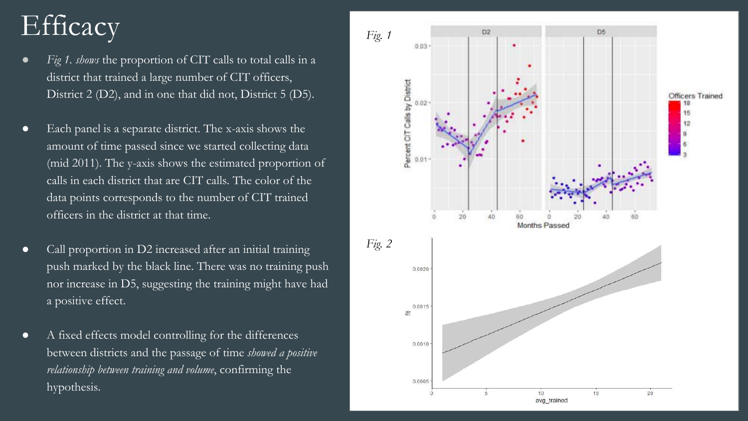## **Efficacy**

- *Fig 1. shows* the proportion of CIT calls to total calls in a district that trained a large number of CIT officers, District 2 (D2), and in one that did not, District 5 (D5).
- Each panel is a separate district. The x-axis shows the amount of time passed since we started collecting data (mid 2011). The y-axis shows the estimated proportion of calls in each district that are CIT calls. The color of the data points corresponds to the number of CIT trained officers in the district at that time.
- Call proportion in D2 increased after an initial training push marked by the black line. There was no training push nor increase in D5, suggesting the training might have had a positive effect.
- A fixed effects model controlling for the differences between districts and the passage of time *showed a positive relationship between training and volume*, confirming the hypothesis.